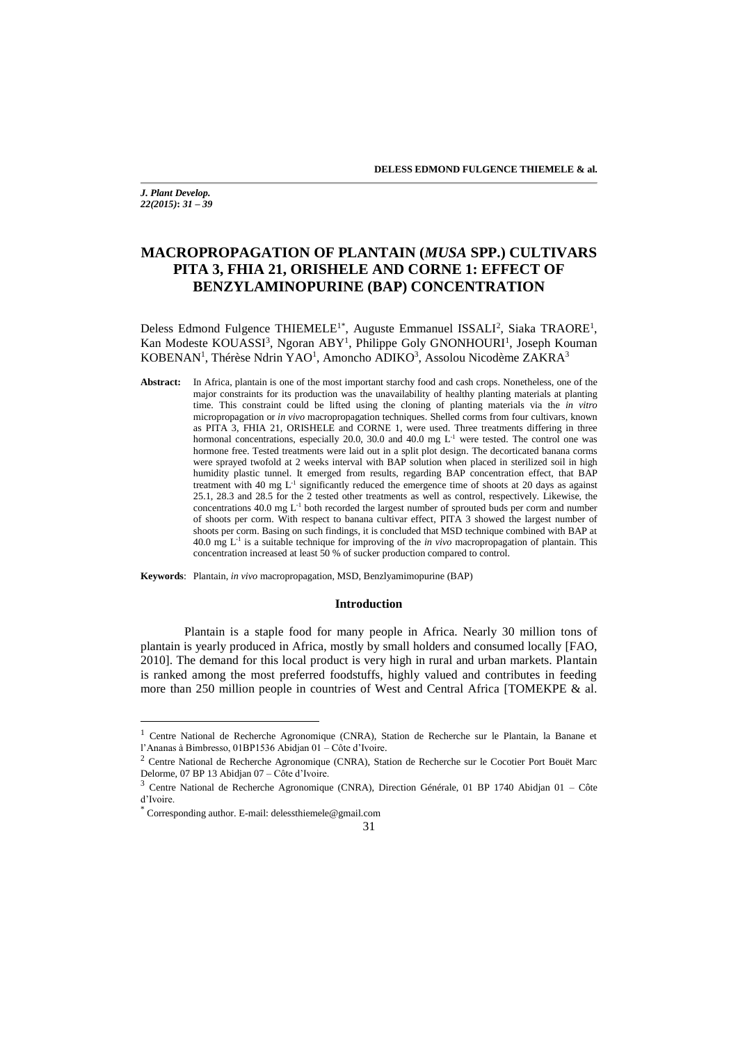*J. Plant Develop. 22(2015)***:** *31 – 39*

# **MACROPROPAGATION OF PLANTAIN (***MUSA* **SPP.) CULTIVARS PITA 3, FHIA 21, ORISHELE AND CORNE 1: EFFECT OF BENZYLAMINOPURINE (BAP) CONCENTRATION**

Deless Edmond Fulgence THIEMELE<sup>1\*</sup>, Auguste Emmanuel ISSALI<sup>2</sup>, Siaka TRAORE<sup>1</sup>, Kan Modeste KOUASSI<sup>3</sup>, Ngoran ABY<sup>1</sup>, Philippe Goly GNONHOURI<sup>1</sup>, Joseph Kouman KOBENAN<sup>1</sup>, Thérèse Ndrin YAO<sup>1</sup>, Amoncho ADIKO<sup>3</sup>, Assolou Nicodème ZAKRA<sup>3</sup>

**Abstract:** In Africa, plantain is one of the most important starchy food and cash crops. Nonetheless, one of the major constraints for its production was the unavailability of healthy planting materials at planting time. This constraint could be lifted using the cloning of planting materials via the *in vitro* micropropagation or *in vivo* macropropagation techniques. Shelled corms from four cultivars, known as PITA 3, FHIA 21, ORISHELE and CORNE 1, were used. Three treatments differing in three hormonal concentrations, especially 20.0, 30.0 and 40.0 mg  $L^{-1}$  were tested. The control one was hormone free. Tested treatments were laid out in a split plot design. The decorticated banana corms were sprayed twofold at 2 weeks interval with BAP solution when placed in sterilized soil in high humidity plastic tunnel. It emerged from results, regarding BAP concentration effect, that BAP treatment with 40 mg  $L<sup>-1</sup>$  significantly reduced the emergence time of shoots at 20 days as against 25.1, 28.3 and 28.5 for the 2 tested other treatments as well as control, respectively. Likewise, the concentrations 40.0 mg  $L^{-1}$  both recorded the largest number of sprouted buds per corm and number of shoots per corm. With respect to banana cultivar effect, PITA 3 showed the largest number of shoots per corm. Basing on such findings, it is concluded that MSD technique combined with BAP at 40.0 mg L -1 is a suitable technique for improving of the *in vivo* macropropagation of plantain. This concentration increased at least 50 % of sucker production compared to control.

**Keywords**: Plantain, *in vivo* macropropagation, MSD, Benzlyamimopurine (BAP)

#### **Introduction**

Plantain is a staple food for many people in Africa. Nearly 30 million tons of plantain is yearly produced in Africa, mostly by small holders and consumed locally [FAO, 2010]. The demand for this local product is very high in rural and urban markets. Plantain is ranked among the most preferred foodstuffs, highly valued and contributes in feeding more than 250 million people in countries of West and Central Africa [TOMEKPE & al.

 $\overline{a}$ 

<sup>&</sup>lt;sup>1</sup> Centre National de Recherche Agronomique (CNRA), Station de Recherche sur le Plantain, la Banane et l'Ananas à Bimbresso, 01BP1536 Abidjan 01 – Côte d'Ivoire.

<sup>&</sup>lt;sup>2</sup> Centre National de Recherche Agronomique (CNRA), Station de Recherche sur le Cocotier Port Bouët Marc Delorme, 07 BP 13 Abidjan 07 – Côte d'Ivoire.

<sup>3</sup> Centre National de Recherche Agronomique (CNRA), Direction Générale, 01 BP 1740 Abidjan 01 – Côte d'Ivoire.

Corresponding author. E-mail: delessthiemele@gmail.com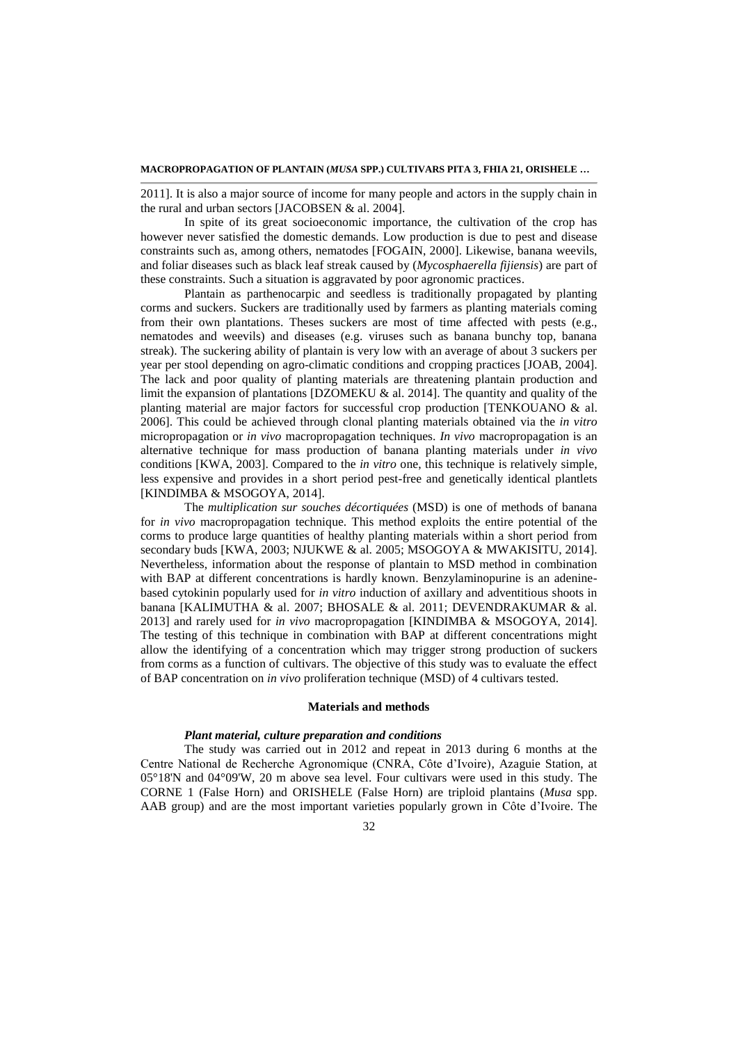2011]. It is also a major source of income for many people and actors in the supply chain in the rural and urban sectors [JACOBSEN & al. 2004].

In spite of its great socioeconomic importance, the cultivation of the crop has however never satisfied the domestic demands. Low production is due to pest and disease constraints such as, among others, nematodes [FOGAIN, 2000]. Likewise, banana weevils, and foliar diseases such as black leaf streak caused by (*Mycosphaerella fijiensis*) are part of these constraints. Such a situation is aggravated by poor agronomic practices.

Plantain as parthenocarpic and seedless is traditionally propagated by planting corms and suckers. Suckers are traditionally used by farmers as planting materials coming from their own plantations. Theses suckers are most of time affected with pests (e.g., nematodes and weevils) and diseases (e.g. viruses such as banana bunchy top, banana streak). The suckering ability of plantain is very low with an average of about 3 suckers per year per stool depending on agro-climatic conditions and cropping practices [JOAB, 2004]. The lack and poor quality of planting materials are threatening plantain production and limit the expansion of plantations [DZOMEKU  $\&$  al. 2014]. The quantity and quality of the planting material are major factors for successful crop production [TENKOUANO & al. 2006]. This could be achieved through clonal planting materials obtained via the *in vitro* micropropagation or *in vivo* macropropagation techniques. *In vivo* macropropagation is an alternative technique for mass production of banana planting materials under *in vivo* conditions [KWA, 2003]. Compared to the *in vitro* one, this technique is relatively simple, less expensive and provides in a short period pest-free and genetically identical plantlets [KINDIMBA & MSOGOYA, 2014].

The *multiplication sur souches décortiquées* (MSD) is one of methods of banana for *in vivo* macropropagation technique. This method exploits the entire potential of the corms to produce large quantities of healthy planting materials within a short period from secondary buds [KWA, 2003; NJUKWE & al. 2005; MSOGOYA & MWAKISITU, 2014]. Nevertheless, information about the response of plantain to MSD method in combination with BAP at different concentrations is hardly known. Benzylaminopurine is an adeninebased cytokinin popularly used for *in vitro* induction of axillary and adventitious shoots in banana [KALIMUTHA & al. 2007; BHOSALE & al. 2011; DEVENDRAKUMAR & al. 2013] and rarely used for *in vivo* macropropagation [KINDIMBA & MSOGOYA, 2014]. The testing of this technique in combination with BAP at different concentrations might allow the identifying of a concentration which may trigger strong production of suckers from corms as a function of cultivars. The objective of this study was to evaluate the effect of BAP concentration on *in vivo* proliferation technique (MSD) of 4 cultivars tested.

#### **Materials and methods**

### *Plant material, culture preparation and conditions*

The study was carried out in 2012 and repeat in 2013 during 6 months at the Centre National de Recherche Agronomique (CNRA, Côte d'Ivoire), Azaguie Station, at 05°18'N and 04°09'W, 20 m above sea level. Four cultivars were used in this study. The CORNE 1 (False Horn) and ORISHELE (False Horn) are triploid plantains (*Musa* spp. AAB group) and are the most important varieties popularly grown in Côte d'Ivoire. The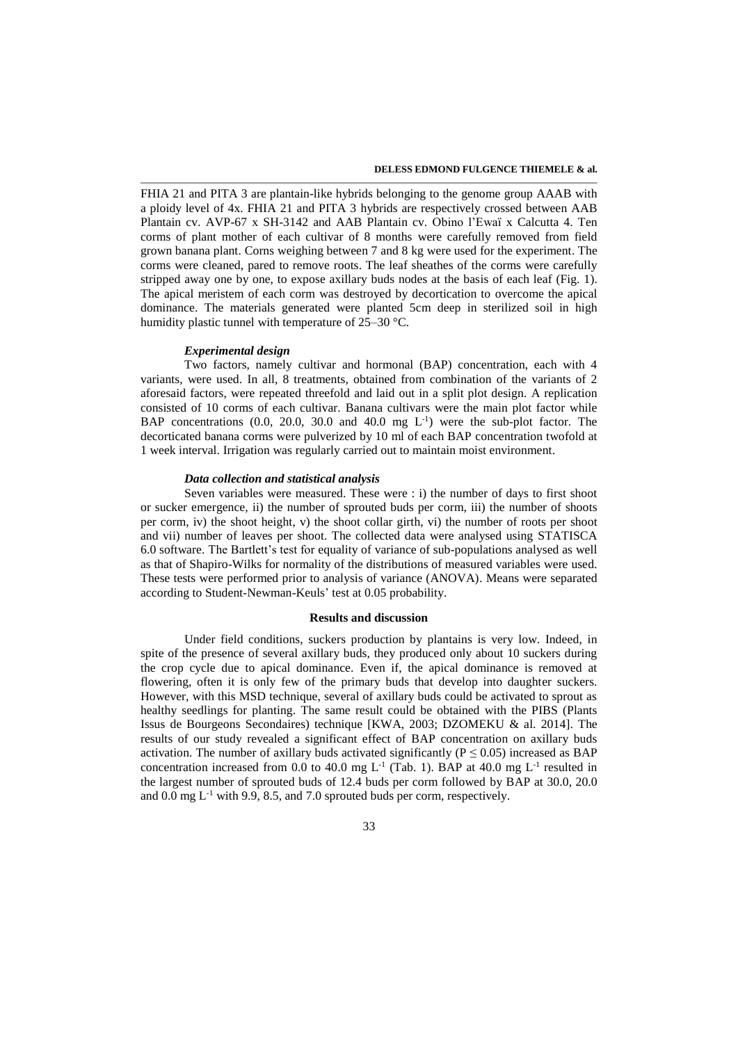FHIA 21 and PITA 3 are plantain-like hybrids belonging to the genome group AAAB with a ploidy level of 4x. FHIA 21 and PITA 3 hybrids are respectively crossed between AAB Plantain cv. AVP-67 x SH-3142 and AAB Plantain cv. Obino l'Ewaï x Calcutta 4. Ten corms of plant mother of each cultivar of 8 months were carefully removed from field grown banana plant. Corns weighing between 7 and 8 kg were used for the experiment. The corms were cleaned, pared to remove roots. The leaf sheathes of the corms were carefully stripped away one by one, to expose axillary buds nodes at the basis of each leaf (Fig. 1). The apical meristem of each corm was destroyed by decortication to overcome the apical dominance. The materials generated were planted 5cm deep in sterilized soil in high humidity plastic tunnel with temperature of 25–30 °C.

### *Experimental design*

Two factors, namely cultivar and hormonal (BAP) concentration, each with 4 variants, were used. In all, 8 treatments, obtained from combination of the variants of 2 aforesaid factors, were repeated threefold and laid out in a split plot design. A replication consisted of 10 corms of each cultivar. Banana cultivars were the main plot factor while BAP concentrations  $(0.0, 20.0, 30.0, 30.0, 40.0, \text{mg } L^{-1})$  were the sub-plot factor. The decorticated banana corms were pulverized by 10 ml of each BAP concentration twofold at 1 week interval. Irrigation was regularly carried out to maintain moist environment.

# *Data collection and statistical analysis*

Seven variables were measured. These were : i) the number of days to first shoot or sucker emergence, ii) the number of sprouted buds per corm, iii) the number of shoots per corm, iv) the shoot height, v) the shoot collar girth, vi) the number of roots per shoot and vii) number of leaves per shoot. The collected data were analysed using STATISCA 6.0 software. The Bartlett's test for equality of variance of sub-populations analysed as well as that of Shapiro-Wilks for normality of the distributions of measured variables were used. These tests were performed prior to analysis of variance (ANOVA). Means were separated according to Student-Newman-Keuls' test at 0.05 probability.

### **Results and discussion**

Under field conditions, suckers production by plantains is very low. Indeed, in spite of the presence of several axillary buds, they produced only about 10 suckers during the crop cycle due to apical dominance. Even if, the apical dominance is removed at flowering, often it is only few of the primary buds that develop into daughter suckers. However, with this MSD technique, several of axillary buds could be activated to sprout as healthy seedlings for planting. The same result could be obtained with the PIBS (Plants Issus de Bourgeons Secondaires) technique [KWA, 2003; DZOMEKU & al. 2014]. The results of our study revealed a significant effect of BAP concentration on axillary buds activation. The number of axillary buds activated significantly ( $P \le 0.05$ ) increased as BAP concentration increased from 0.0 to 40.0 mg  $L^{-1}$  (Tab. 1). BAP at 40.0 mg  $L^{-1}$  resulted in the largest number of sprouted buds of 12.4 buds per corm followed by BAP at 30.0, 20.0 and  $0.0$  mg L<sup>-1</sup> with 9.9, 8.5, and 7.0 sprouted buds per corm, respectively.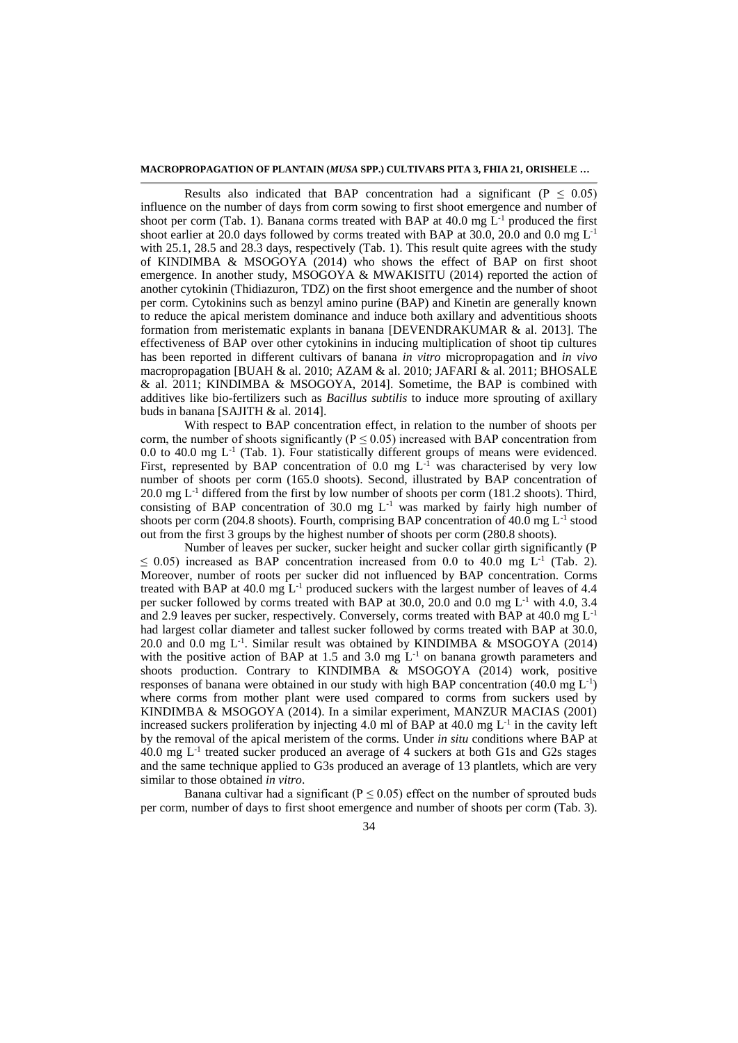# **MACROPROPAGATION OF PLANTAIN (***MUSA* **SPP.) CULTIVARS PITA 3, FHIA 21, ORISHELE …**

Results also indicated that BAP concentration had a significant ( $P \le 0.05$ ) influence on the number of days from corm sowing to first shoot emergence and number of shoot per corm (Tab. 1). Banana corms treated with BAP at 40.0 mg  $\overline{L}^{-1}$  produced the first shoot earlier at 20.0 days followed by corms treated with BAP at 30.0, 20.0 and 0.0 mg  $L^{-1}$ with 25.1, 28.5 and 28.3 days, respectively (Tab. 1). This result quite agrees with the study of KINDIMBA & MSOGOYA (2014) who shows the effect of BAP on first shoot emergence. In another study, MSOGOYA & MWAKISITU (2014) reported the action of another cytokinin (Thidiazuron, TDZ) on the first shoot emergence and the number of shoot per corm. Cytokinins such as benzyl amino purine (BAP) and Kinetin are generally known to reduce the apical meristem dominance and induce both axillary and adventitious shoots formation from meristematic explants in banana [DEVENDRAKUMAR & al. 2013]. The effectiveness of BAP over other cytokinins in inducing multiplication of shoot tip cultures has been reported in different cultivars of banana *in vitro* micropropagation and *in vivo* macropropagation [BUAH & al. 2010; AZAM & al. 2010; JAFARI & al. 2011; BHOSALE & al. 2011; KINDIMBA & MSOGOYA, 2014]. Sometime, the BAP is combined with additives like bio-fertilizers such as *Bacillus subtilis* to induce more sprouting of axillary buds in banana [SAJITH & al. 2014].

With respect to BAP concentration effect, in relation to the number of shoots per corm, the number of shoots significantly ( $P \le 0.05$ ) increased with BAP concentration from  $0.0$  to  $40.0$  mg  $L^{-1}$  (Tab. 1). Four statistically different groups of means were evidenced. First, represented by BAP concentration of  $0.0 \text{ mg } L^{-1}$  was characterised by very low number of shoots per corm (165.0 shoots). Second, illustrated by BAP concentration of 20.0 mg  $L^{-1}$  differed from the first by low number of shoots per corm (181.2 shoots). Third, consisting of BAP concentration of 30.0 mg  $L^{-1}$  was marked by fairly high number of shoots per corm (204.8 shoots). Fourth, comprising BAP concentration of 40.0 mg L<sup>-1</sup> stood out from the first 3 groups by the highest number of shoots per corm (280.8 shoots).

Number of leaves per sucker, sucker height and sucker collar girth significantly (P  $\leq$  0.05) increased as BAP concentration increased from 0.0 to 40.0 mg L<sup>-1</sup> (Tab. 2). Moreover, number of roots per sucker did not influenced by BAP concentration. Corms treated with BAP at 40.0 mg  $L^{-1}$  produced suckers with the largest number of leaves of 4.4 per sucker followed by corms treated with BAP at 30.0, 20.0 and 0.0 mg  $L^{-1}$  with 4.0, 3.4 and 2.9 leaves per sucker, respectively. Conversely, corms treated with BAP at 40.0 mg  $L^{-1}$ had largest collar diameter and tallest sucker followed by corms treated with BAP at 30.0, 20.0 and 0.0 mg L-1 . Similar result was obtained by KINDIMBA & MSOGOYA (2014) with the positive action of BAP at 1.5 and 3.0 mg  $L^{-1}$  on banana growth parameters and shoots production. Contrary to KINDIMBA & MSOGOYA (2014) work, positive responses of banana were obtained in our study with high BAP concentration  $(40.0 \text{ mg L}^{-1})$ where corms from mother plant were used compared to corms from suckers used by KINDIMBA & MSOGOYA (2014). In a similar experiment, MANZUR MACIAS (2001) increased suckers proliferation by injecting 4.0 ml of BAP at 40.0 mg  $L^{-1}$  in the cavity left by the removal of the apical meristem of the corms. Under *in situ* conditions where BAP at  $40.0$  mg  $L<sup>-1</sup>$  treated sucker produced an average of 4 suckers at both G1s and G2s stages and the same technique applied to G3s produced an average of 13 plantlets, which are very similar to those obtained *in vitro*.

Banana cultivar had a significant ( $P \le 0.05$ ) effect on the number of sprouted buds per corm, number of days to first shoot emergence and number of shoots per corm (Tab. 3).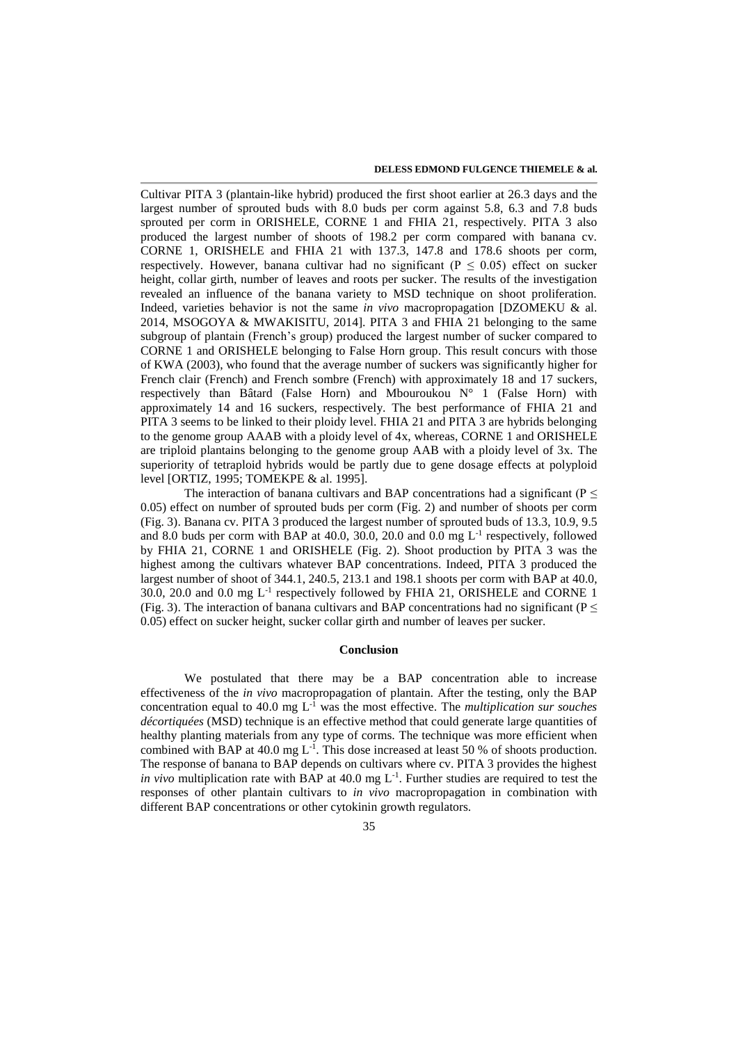Cultivar PITA 3 (plantain-like hybrid) produced the first shoot earlier at 26.3 days and the largest number of sprouted buds with 8.0 buds per corm against 5.8, 6.3 and 7.8 buds sprouted per corm in ORISHELE, CORNE 1 and FHIA 21, respectively. PITA 3 also produced the largest number of shoots of 198.2 per corm compared with banana cv. CORNE 1, ORISHELE and FHIA 21 with 137.3, 147.8 and 178.6 shoots per corm, respectively. However, banana cultivar had no significant ( $P \le 0.05$ ) effect on sucker height, collar girth, number of leaves and roots per sucker. The results of the investigation revealed an influence of the banana variety to MSD technique on shoot proliferation. Indeed, varieties behavior is not the same *in vivo* macropropagation [DZOMEKU & al. 2014, MSOGOYA & MWAKISITU, 2014]. PITA 3 and FHIA 21 belonging to the same subgroup of plantain (French's group) produced the largest number of sucker compared to CORNE 1 and ORISHELE belonging to False Horn group. This result concurs with those of KWA (2003), who found that the average number of suckers was significantly higher for French clair (French) and French sombre (French) with approximately 18 and 17 suckers, respectively than Bâtard (False Horn) and Mbouroukou  $N^{\circ}$  1 (False Horn) with approximately 14 and 16 suckers, respectively. The best performance of FHIA 21 and PITA 3 seems to be linked to their ploidy level. FHIA 21 and PITA 3 are hybrids belonging to the genome group AAAB with a ploidy level of 4x, whereas, CORNE 1 and ORISHELE are triploid plantains belonging to the genome group AAB with a ploidy level of 3x. The superiority of tetraploid hybrids would be partly due to gene dosage effects at polyploid level [ORTIZ, 1995; TOMEKPE & al. 1995].

The interaction of banana cultivars and BAP concentrations had a significant ( $P \leq$ 0.05) effect on number of sprouted buds per corm (Fig. 2) and number of shoots per corm (Fig. 3). Banana cv. PITA 3 produced the largest number of sprouted buds of 13.3, 10.9, 9.5 and 8.0 buds per corm with BAP at 40.0, 30.0, 20.0 and 0.0 mg L-1 respectively, followed by FHIA 21, CORNE 1 and ORISHELE (Fig. 2). Shoot production by PITA 3 was the highest among the cultivars whatever BAP concentrations. Indeed, PITA 3 produced the largest number of shoot of 344.1, 240.5, 213.1 and 198.1 shoots per corm with BAP at 40.0, 30.0, 20.0 and 0.0 mg L<sup>-1</sup> respectively followed by FHIA 21, ORISHELE and CORNE 1 (Fig. 3). The interaction of banana cultivars and BAP concentrations had no significant ( $P \leq$ 0.05) effect on sucker height, sucker collar girth and number of leaves per sucker.

### **Conclusion**

We postulated that there may be a BAP concentration able to increase effectiveness of the *in vivo* macropropagation of plantain. After the testing, only the BAP concentration equal to  $40.0 \text{ mg } L^{-1}$  was the most effective. The *multiplication sur souches décortiquées* (MSD) technique is an effective method that could generate large quantities of healthy planting materials from any type of corms. The technique was more efficient when combined with BAP at 40.0 mg  $L^{-1}$ . This dose increased at least 50 % of shoots production. The response of banana to BAP depends on cultivars where cv. PITA 3 provides the highest *in vivo* multiplication rate with BAP at  $40.0$  mg  $L^{-1}$ . Further studies are required to test the responses of other plantain cultivars to *in vivo* macropropagation in combination with different BAP concentrations or other cytokinin growth regulators.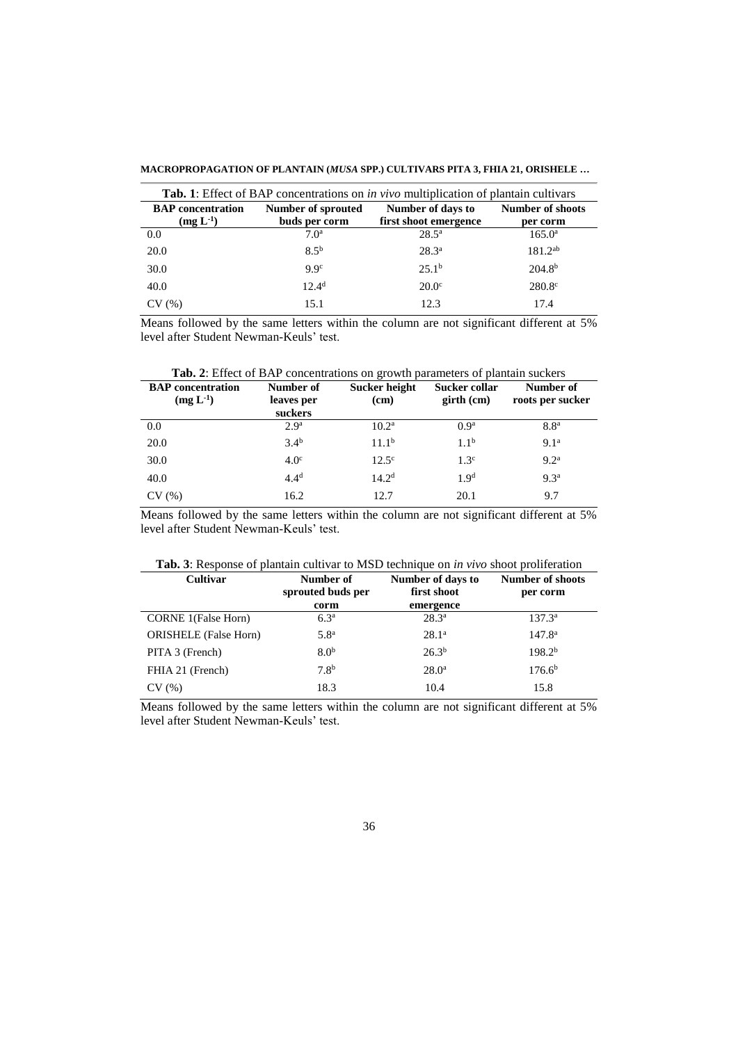| <b>Tab. 1</b> : Effect of BAP concentrations on <i>in vivo</i> multiplication of plantain cultivars |                                     |                                            |                                     |  |  |
|-----------------------------------------------------------------------------------------------------|-------------------------------------|--------------------------------------------|-------------------------------------|--|--|
| <b>BAP</b> concentration<br>$(mg L^{-1})$                                                           | Number of sprouted<br>buds per corm | Number of days to<br>first shoot emergence | <b>Number of shoots</b><br>per corm |  |  |
| 0.0                                                                                                 | 7.0 <sup>a</sup>                    | $28.5^{\rm a}$                             | $165.0^{\rm a}$                     |  |  |
| 20.0                                                                                                | $8.5^{b}$                           | $28.3^{a}$                                 | $181.2^{ab}$                        |  |  |
| 30.0                                                                                                | 9.9 <sup>c</sup>                    | 25.1 <sup>b</sup>                          | 204.8 <sup>b</sup>                  |  |  |
| 40.0                                                                                                | 12.4 <sup>d</sup>                   | 20.0 <sup>c</sup>                          | $280.8^{\circ}$                     |  |  |
| $(%^{(0)}_{0})^{1}$                                                                                 | 15.1                                | 12.3                                       | 17.4                                |  |  |

**MACROPROPAGATION OF PLANTAIN (***MUSA* **SPP.) CULTIVARS PITA 3, FHIA 21, ORISHELE …**

Means followed by the same letters within the column are not significant different at 5% level after Student Newman-Keuls' test.

**Tab. 2**: Effect of BAP concentrations on growth parameters of plantain suckers

| <b>BAP</b> concentration<br>$(mg L^{-1})$ | Number of<br>leaves per<br>suckers | Sucker height<br>(cm) | Sucker collar<br>$girth$ (cm) | Number of<br>roots per sucker |
|-------------------------------------------|------------------------------------|-----------------------|-------------------------------|-------------------------------|
| 0.0                                       | 2.9 <sup>a</sup>                   | 10.2 <sup>a</sup>     | 0.9 <sup>a</sup>              | 8.8 <sup>a</sup>              |
| 20.0                                      | $3.4^{b}$                          | 11.1 <sup>b</sup>     | 1.1 <sup>b</sup>              | 9.1 <sup>a</sup>              |
| 30.0                                      | 4.0 <sup>c</sup>                   | $12.5^{\circ}$        | 1.3 <sup>c</sup>              | 9.2 <sup>a</sup>              |
| 40.0                                      | $4.4^{d}$                          | 14.2 <sup>d</sup>     | 1.9 <sup>d</sup>              | 9.3 <sup>a</sup>              |
| CV(%)                                     | 16.2                               | 12.7                  | 20.1                          | 9.7                           |

Means followed by the same letters within the column are not significant different at 5% level after Student Newman-Keuls' test.

| <b>Cultivar</b>              | Number of                 | Number of days to        | <b>Number of shoots</b> |
|------------------------------|---------------------------|--------------------------|-------------------------|
|                              | sprouted buds per<br>corm | first shoot<br>emergence | per corm                |
| <b>CORNE</b> 1(False Horn)   | 6.3 <sup>a</sup>          | $28.3^{\rm a}$           | $137.3^a$               |
| <b>ORISHELE</b> (False Horn) | 5.8 <sup>a</sup>          | 28.1 <sup>a</sup>        | 147.8 <sup>a</sup>      |
| PITA 3 (French)              | 8.0 <sup>b</sup>          | $26.3^{b}$               | 198.2 <sup>b</sup>      |
| FHIA 21 (French)             | 7.8 <sup>b</sup>          | $28.0^{\rm a}$           | 176.6 <sup>b</sup>      |
| CV(%)                        | 18.3                      | 10.4                     | 15.8                    |

**Tab. 3**: Response of plantain cultivar to MSD technique on *in vivo* shoot proliferation

Means followed by the same letters within the column are not significant different at 5% level after Student Newman-Keuls' test.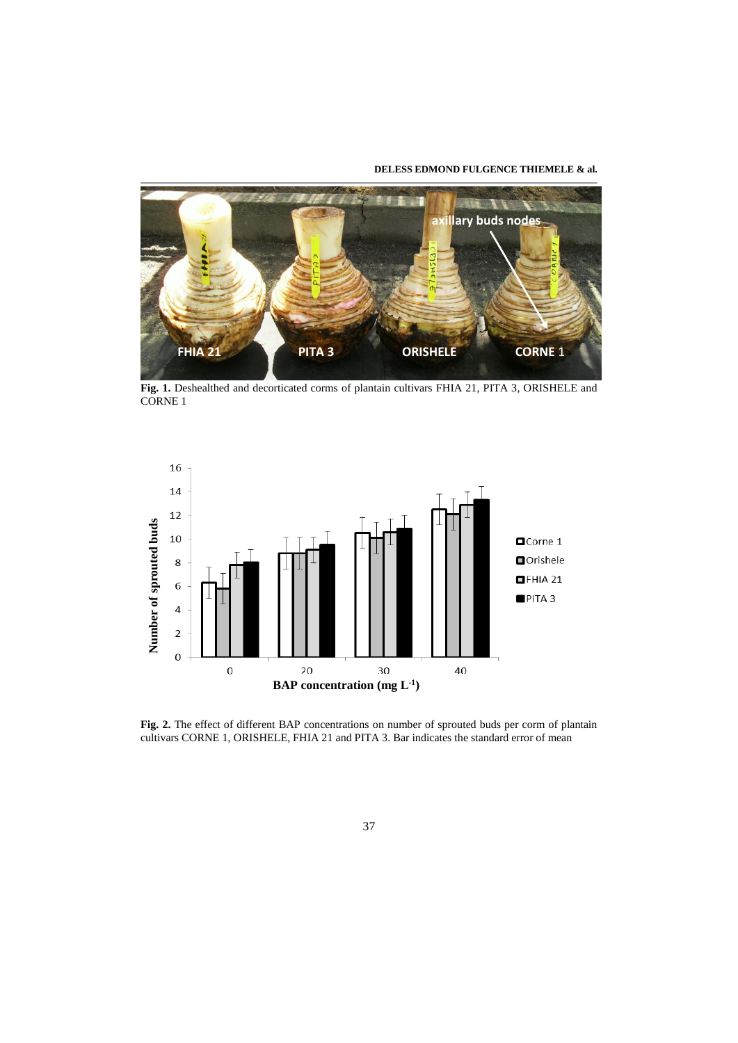**DELESS EDMOND FULGENCE THIEMELE & al.**



**Fig. 1.** Deshealthed and decorticated corms of plantain cultivars FHIA 21, PITA 3, ORISHELE and CORNE<sub>1</sub>



**Fig. 2.** The effect of different BAP concentrations on number of sprouted buds per corm of plantain cultivars CORNE 1, ORISHELE, FHIA 21 and PITA 3. Bar indicates the standard error of mean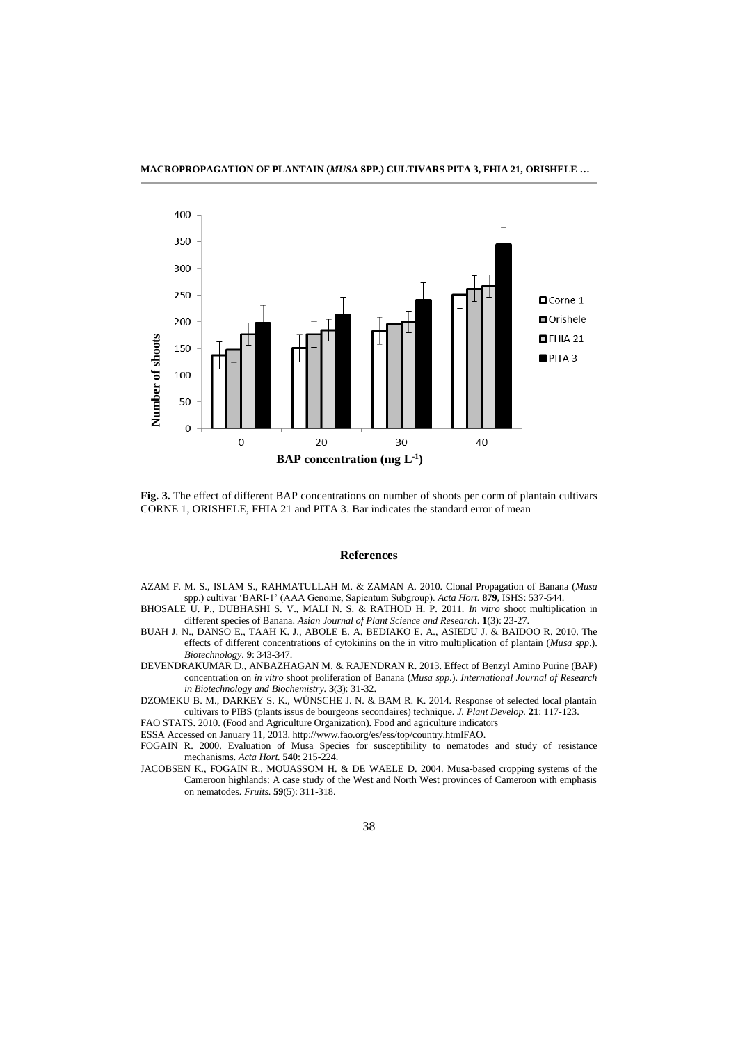



**Fig. 3.** The effect of different BAP concentrations on number of shoots per corm of plantain cultivars CORNE 1, ORISHELE, FHIA 21 and PITA 3. Bar indicates the standard error of mean

#### **References**

- AZAM F. M. S., ISLAM S., RAHMATULLAH M. & ZAMAN A. 2010. Clonal Propagation of Banana (*Musa* spp.) cultivar 'BARI-1' (AAA Genome, Sapientum Subgroup). *Acta Hort.* **879**, ISHS: 537-544.
- BHOSALE U. P., DUBHASHI S. V., MALI N. S. & RATHOD H. P. 2011. *In vitro* shoot multiplication in different species of Banana. *Asian Journal of Plant Science and Research*. **1**(3): 23-27.
- BUAH J. N., DANSO E., TAAH K. J., ABOLE E. A. BEDIAKO E. A., ASIEDU J. & BAIDOO R. 2010. The effects of different concentrations of cytokinins on the in vitro multiplication of plantain (*Musa spp*.). *Biotechnology.* **9**: 343-347.
- DEVENDRAKUMAR D., ANBAZHAGAN M. & RAJENDRAN R. 2013. Effect of Benzyl Amino Purine (BAP) concentration on *in vitro* shoot proliferation of Banana (*Musa spp*.). *International Journal of Research in Biotechnology and Biochemistry.* **3**(3): 31-32.
- DZOMEKU B. M., DARKEY S. K., WÜNSCHE J. N. & BAM R. K. 2014. Response of selected local plantain cultivars to PIBS (plants issus de bourgeons secondaires) technique. *J. Plant Develop.* **21**: 117-123.

FAO STATS. 2010. (Food and Agriculture Organization). Food and agriculture indicators

ESSA Accessed on January 11, 2013[. http://www.fao.org/es/ess/top/country.htmlFAO.](http://www.fao.org/es/ess/top/country.htmlFAO)

FOGAIN R. 2000. Evaluation of Musa Species for susceptibility to nematodes and study of resistance mechanisms. *Acta Hort.* **540**: 215-224.

JACOBSEN K., FOGAIN R., MOUASSOM H. & DE WAELE D. 2004. Musa-based cropping systems of the Cameroon highlands: A case study of the West and North West provinces of Cameroon with emphasis on nematodes. *Fruits*. **59**(5): 311-318.